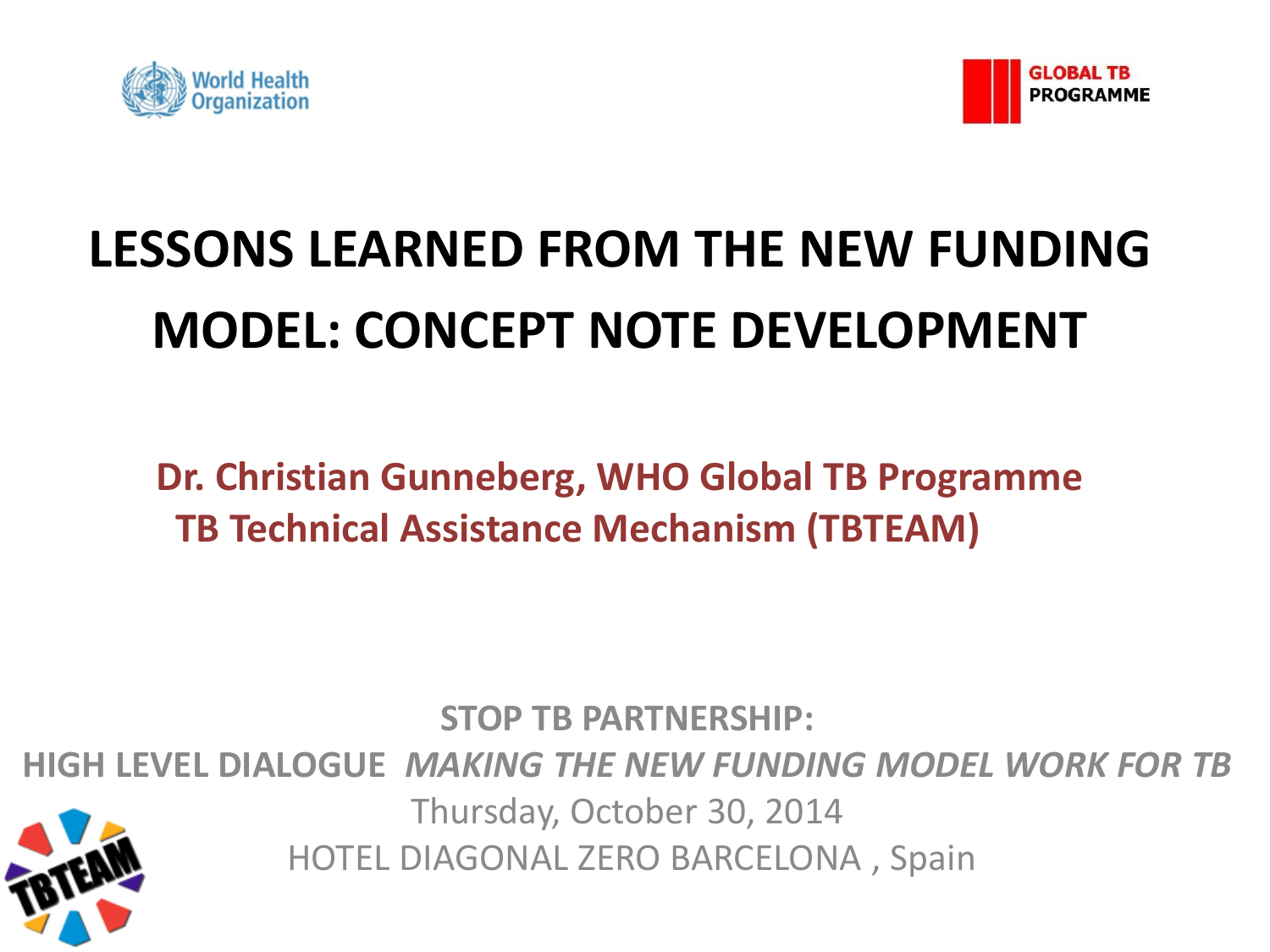



# **LESSONS LEARNED FROM THE NEW FUNDING MODEL: CONCEPT NOTE DEVELOPMENT**

**Dr. Christian Gunneberg, WHO Global TB Programme TB Technical Assistance Mechanism (TBTEAM)**

**STOP TB PARTNERSHIP:** 

**HIGH LEVEL DIALOGUE** *MAKING THE NEW FUNDING MODEL WORK FOR TB*

Thursday, October 30, 2014

HOTEL DIAGONAL ZERO BARCELONA , Spain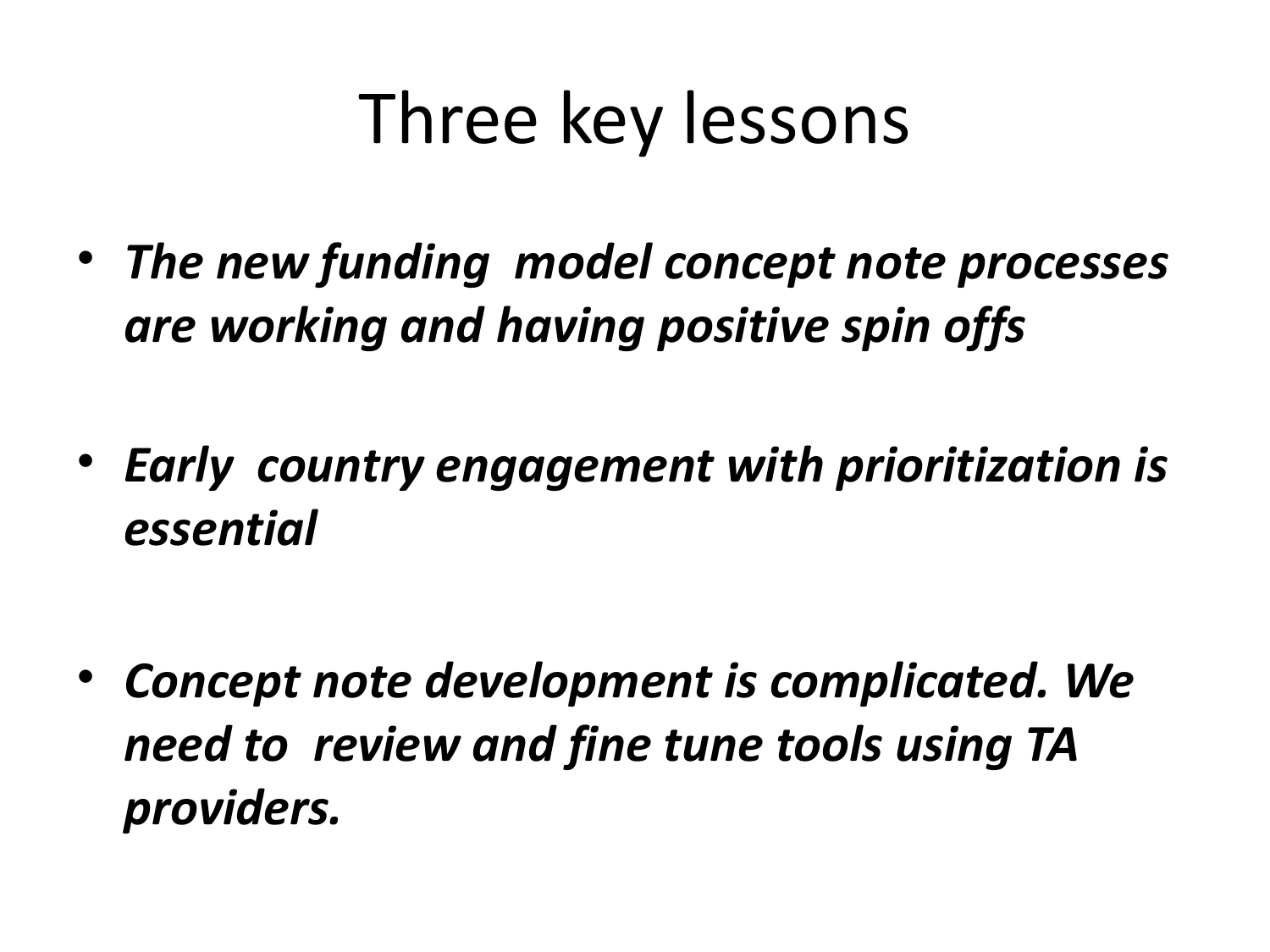# Three key lessons

- *The new funding model concept note processes are working and having positive spin offs*
- *Early country engagement with prioritization is essential*

• *Concept note development is complicated. We need to review and fine tune tools using TA providers.*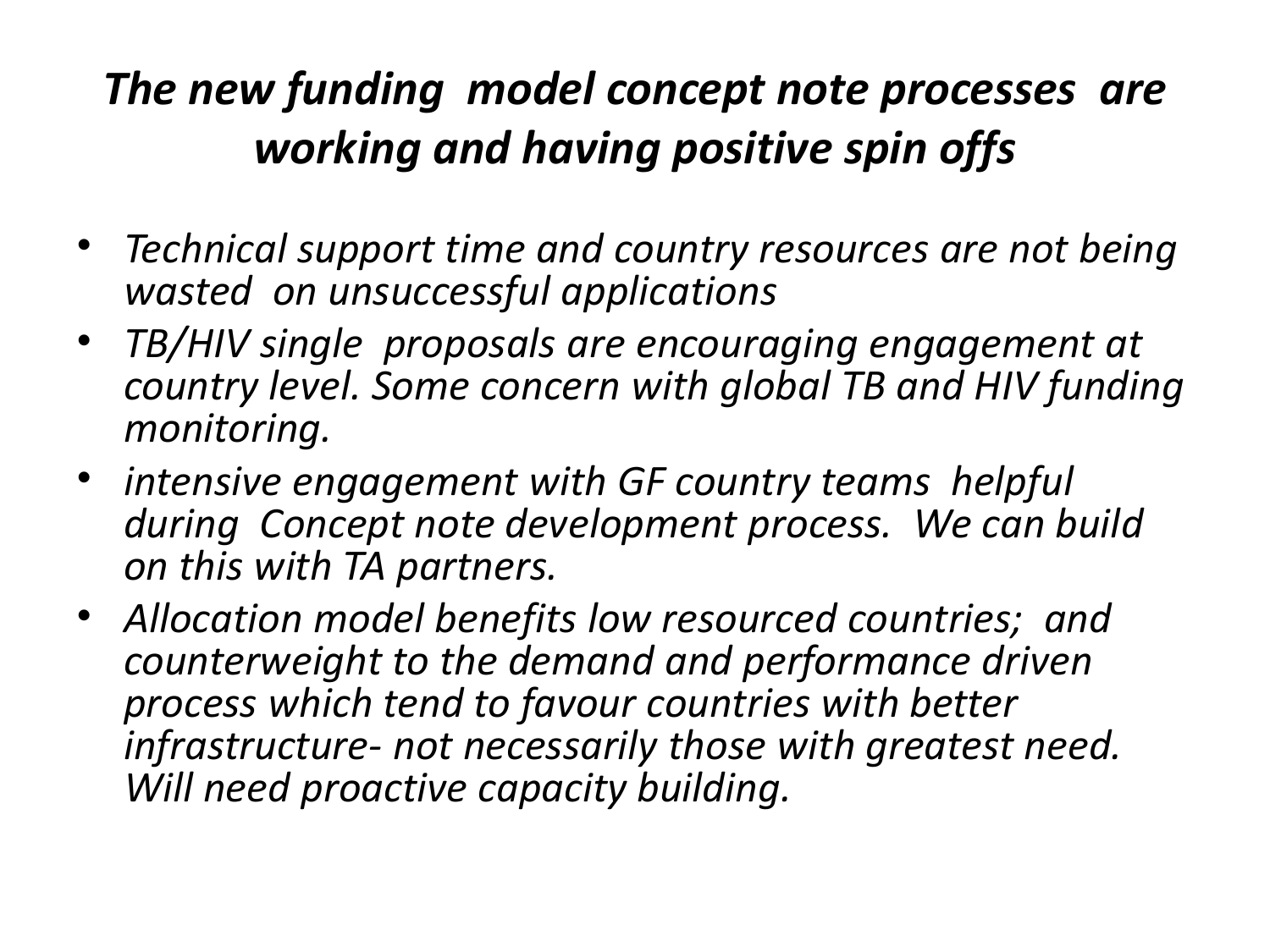### *The new funding model concept note processes are working and having positive spin offs*

- *Technical support time and country resources are not being wasted on unsuccessful applications*
- *TB/HIV single proposals are encouraging engagement at country level. Some concern with global TB and HIV funding monitoring.*
- *intensive engagement with GF country teams helpful during Concept note development process. We can build on this with TA partners.*
- *Allocation model benefits low resourced countries; and counterweight to the demand and performance driven process which tend to favour countries with better infrastructure- not necessarily those with greatest need. Will need proactive capacity building.*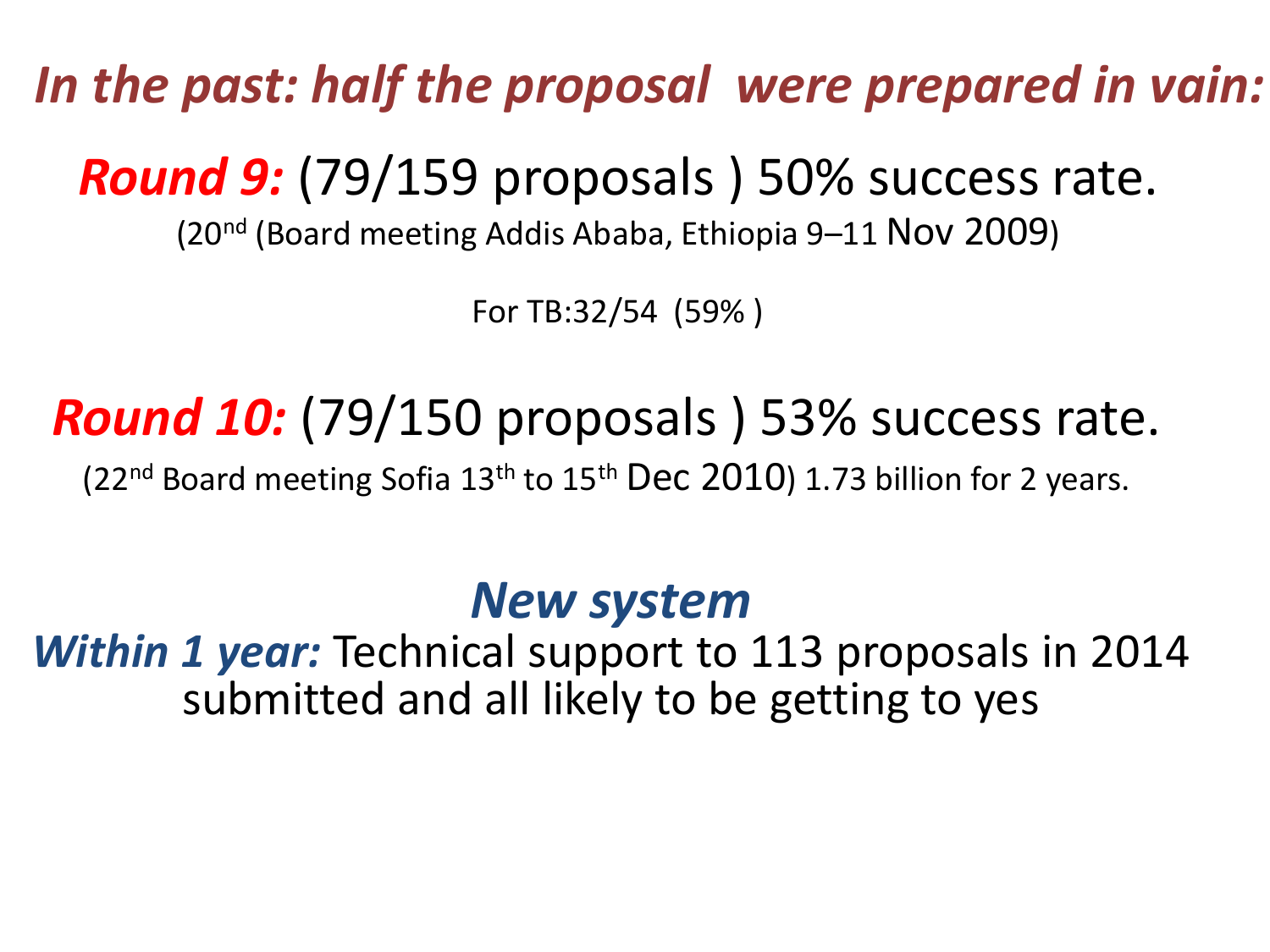*In the past: half the proposal were prepared in vain:*

*Round 9:* (79/159 proposals ) 50% success rate.

(20nd (Board meeting Addis Ababa, Ethiopia 9–11 Nov 2009)

For TB:32/54 (59% )

# *Round 10:* (79/150 proposals ) 53% success rate.

(22<sup>nd</sup> Board meeting Sofia 13<sup>th</sup> to 15<sup>th</sup> Dec 2010) 1.73 billion for 2 years.

### *New system*

*Within 1 year:* Technical support to 113 proposals in 2014 submitted and all likely to be getting to yes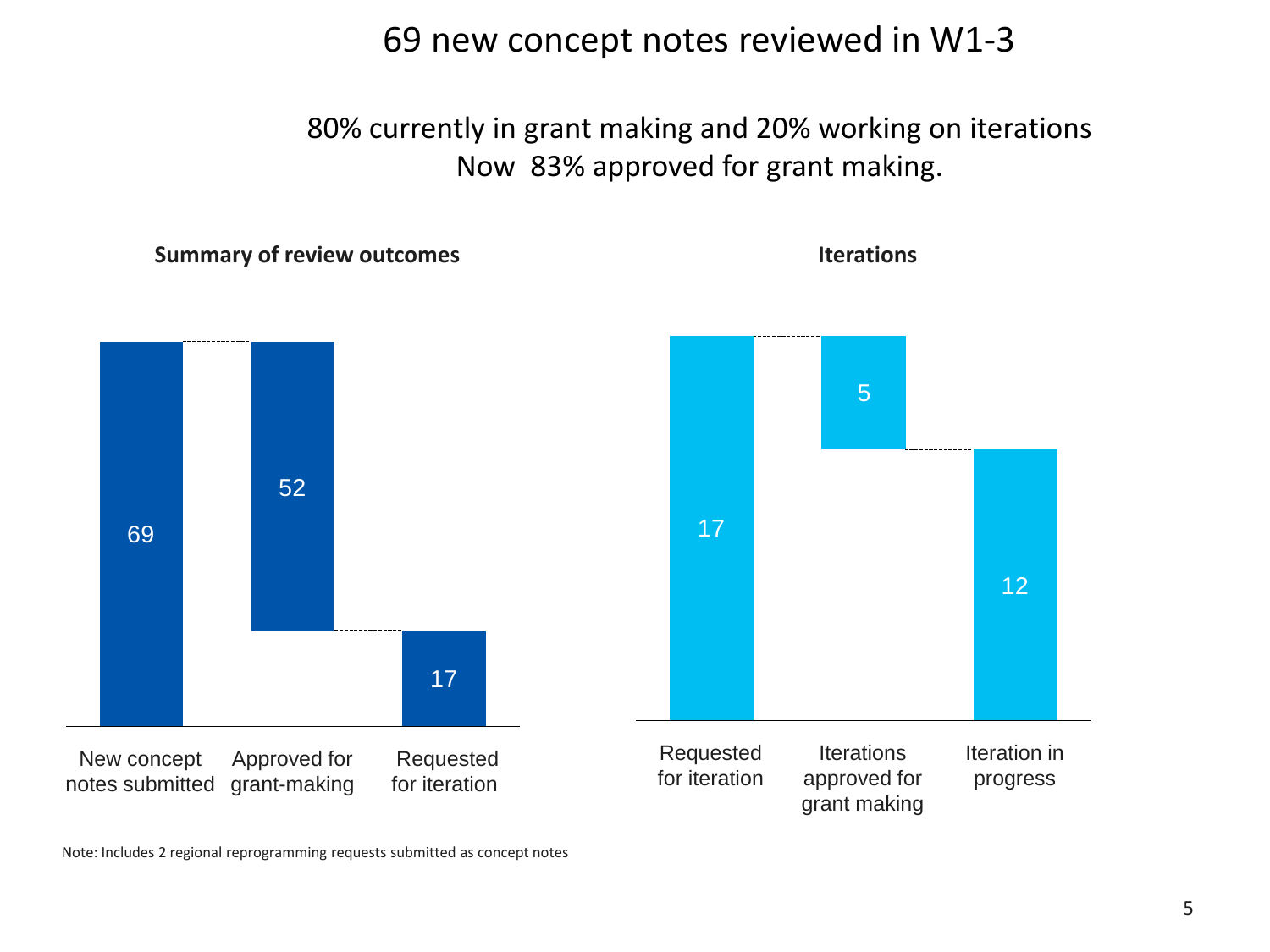69 new concept notes reviewed in W1-3

80% currently in grant making and 20% working on iterations Now 83% approved for grant making.

**Summary of review outcomes**

**Iterations**



Note: Includes 2 regional reprogramming requests submitted as concept notes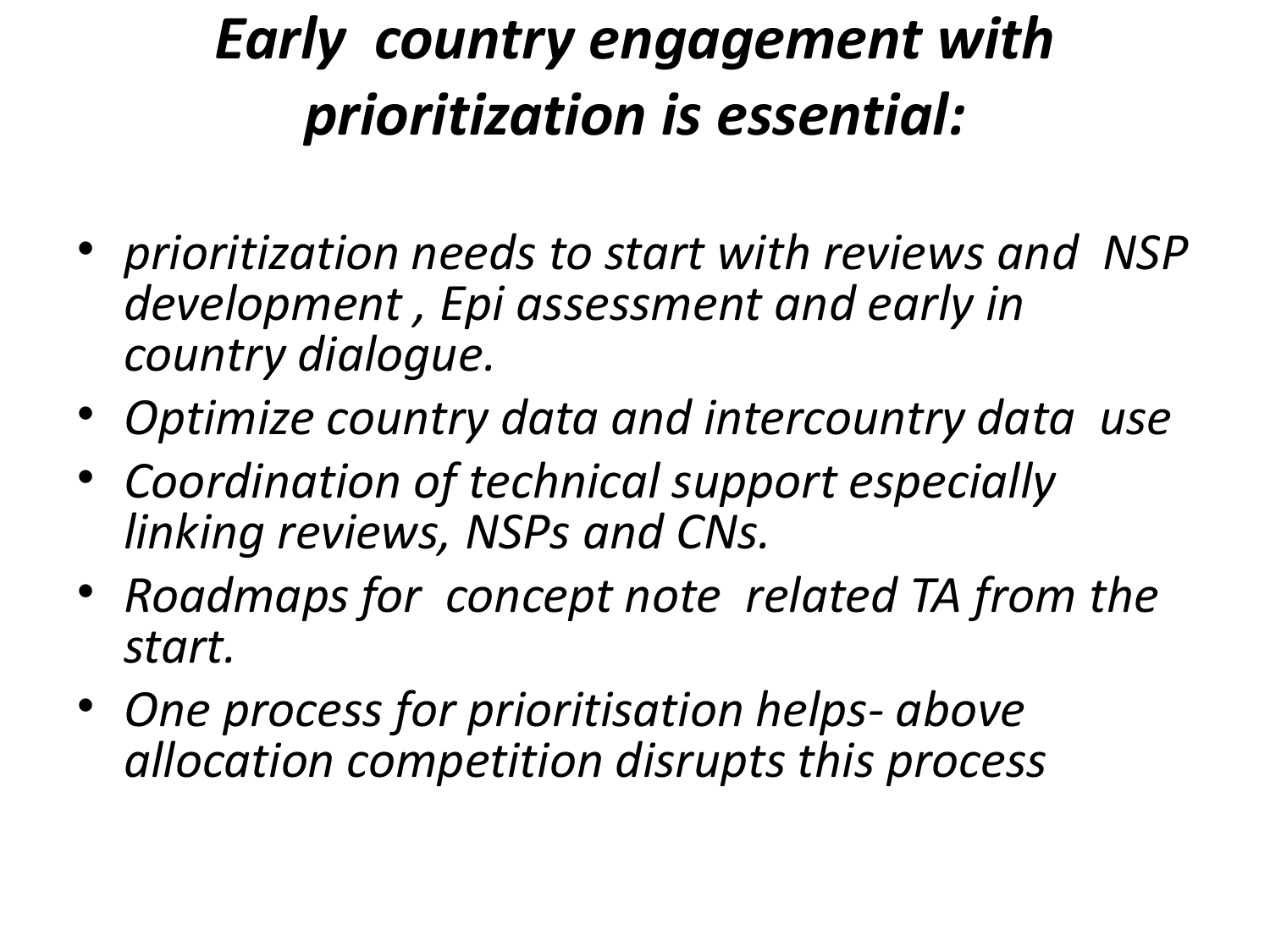# *Early country engagement with prioritization is essential:*

- *prioritization needs to start with reviews and NSP development , Epi assessment and early in country dialogue.*
- *Optimize country data and intercountry data use*
- *Coordination of technical support especially linking reviews, NSPs and CNs.*
- *Roadmaps for concept note related TA from the start.*
- *One process for prioritisation helps- above allocation competition disrupts this process*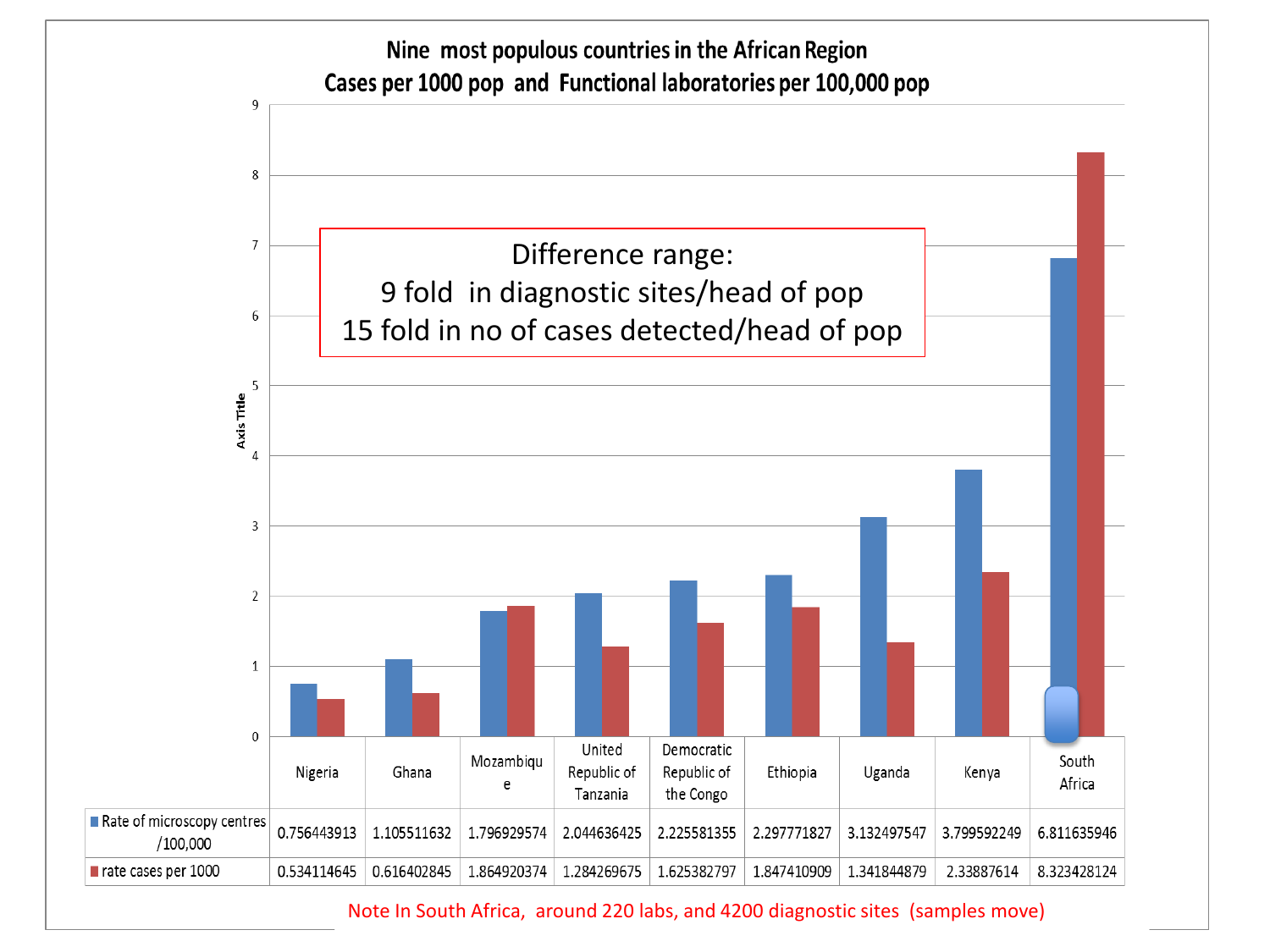

#### Note In South Africa, around 220 labs, and 4200 diagnostic sites (samples move)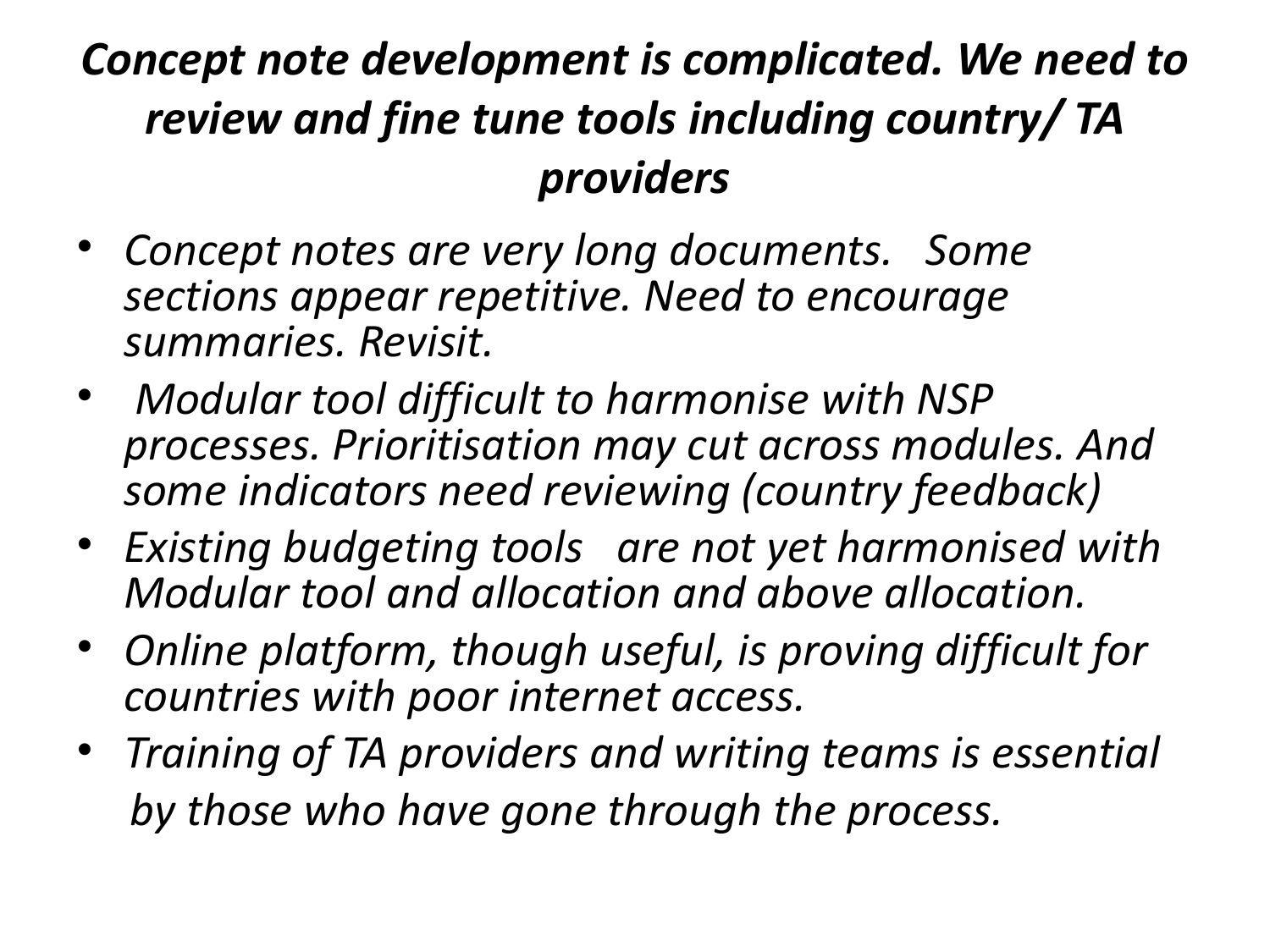# *Concept note development is complicated. We need to review and fine tune tools including country/ TA providers*

- *Concept notes are very long documents. Some sections appear repetitive. Need to encourage summaries. Revisit.*
- *Modular tool difficult to harmonise with NSP processes. Prioritisation may cut across modules. And some indicators need reviewing (country feedback)*
- *Existing budgeting tools are not yet harmonised with Modular tool and allocation and above allocation.*
- *Online platform, though useful, is proving difficult for countries with poor internet access.*
- *Training of TA providers and writing teams is essential by those who have gone through the process.*